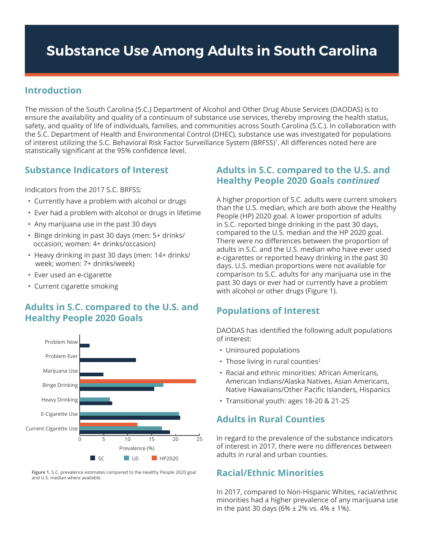# **Substance Use Among Adults in South Carolina**

#### **Introduction**

The mission of the South Carolina (S.C.) Department of Alcohol and Other Drug Abuse Services (DAODAS) is to ensure the availability and quality of a continuum of substance use services, thereby improving the health status, safety, and quality of life of individuals, families, and communities across South Carolina (S.C.). In collaboration with the S.C. Department of Health and Environmental Control (DHEC), substance use was investigated for populations of interest utilizing the S.C. Behavioral Risk Factor Surveillance System (BRFSS)1. All differences noted here are statistically significant at the 95% confidence level.

#### **Substance Indicators of Interest**

Indicators from the 2017 S.C. BRFSS:

- Currently have a problem with alcohol or drugs
- Ever had a problem with alcohol or drugs in lifetime
- Any marijuana use in the past 30 days
- Binge drinking in past 30 days (men: 5+ drinks/ occasion; women: 4+ drinks/occasion)
- Heavy drinking in past 30 days (men: 14+ drinks/ week; women: 7+ drinks/week)
- Ever used an e-cigarette
- Current cigarette smoking

## **Healthy People 2020 Goals Adults in S.C. compared to the U.S. and**



**Figure 1.** S.C. prevalence estimates compared to the Healthy People 2020 goal and U.S. median where available.

## **Adults in S.C. compared to the U.S. and Healthy People 2020 Goals** *continued*

A higher proportion of S.C. adults were current smokers than the U.S. median, which are both above the Healthy People (HP) 2020 goal. A lower proportion of adults in S.C. reported binge drinking in the past 30 days, compared to the U.S. median and the HP 2020 goal. There were no differences between the proportion of adults in S.C. and the U.S. median who have ever used e-cigarettes or reported heavy drinking in the past 30 days. U.S. median proportions were not available for comparison to S.C. adults for any marijuana use in the past 30 days or ever had or currently have a problem with alcohol or other drugs (Figure 1).

## **Populations of Interest**

DAODAS has identified the following adult populations of interest:

- Uninsured populations
- Those living in rural counties<sup>2</sup>
- Racial and ethnic minorities: African Americans,  American Indians/Alaska Natives, Asian Americans,  Native Hawaiians/Other Pacific Islanders, Hispanics
- Transitional youth: ages 18-20 & 21-25

## **Adults in Rural Counties**

In regard to the prevalence of the substance indicators of interest in 2017, there were no differences between adults in rural and urban counties.

## **Racial/Ethnic Minorities**

In 2017, compared to Non-Hispanic Whites, racial/ethnic minorities had a higher prevalence of any marijuana use in the past 30 days (6%  $\pm$  2% vs. 4%  $\pm$  1%).